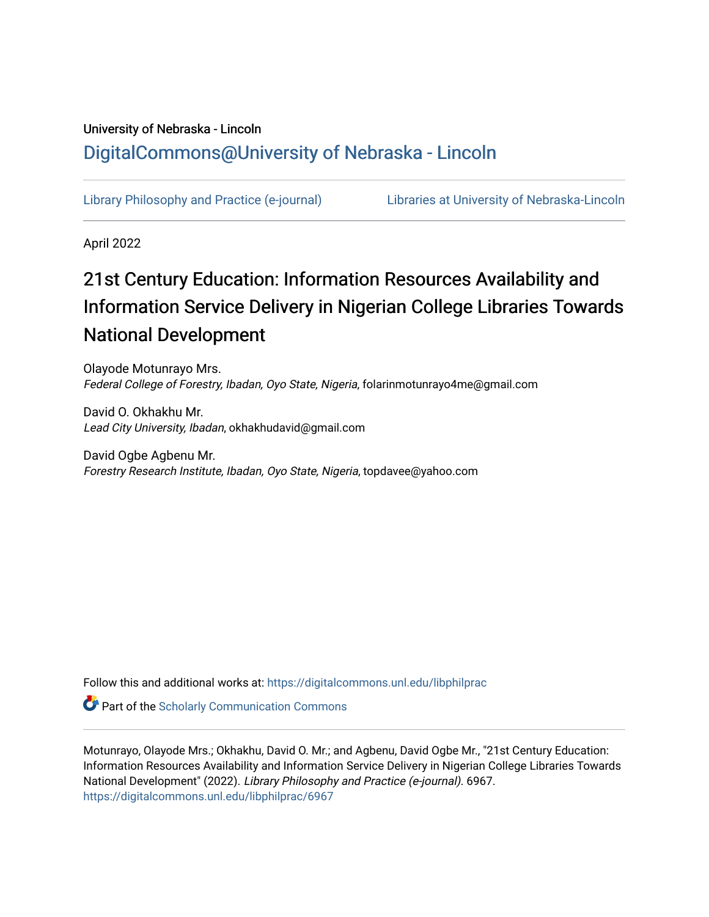# University of Nebraska - Lincoln [DigitalCommons@University of Nebraska - Lincoln](https://digitalcommons.unl.edu/)

[Library Philosophy and Practice \(e-journal\)](https://digitalcommons.unl.edu/libphilprac) [Libraries at University of Nebraska-Lincoln](https://digitalcommons.unl.edu/libraries) 

April 2022

# 21st Century Education: Information Resources Availability and Information Service Delivery in Nigerian College Libraries Towards National Development

Olayode Motunrayo Mrs. Federal College of Forestry, Ibadan, Oyo State, Nigeria, folarinmotunrayo4me@gmail.com

David O. Okhakhu Mr. Lead City University, Ibadan, okhakhudavid@gmail.com

David Ogbe Agbenu Mr. Forestry Research Institute, Ibadan, Oyo State, Nigeria, topdavee@yahoo.com

Follow this and additional works at: [https://digitalcommons.unl.edu/libphilprac](https://digitalcommons.unl.edu/libphilprac?utm_source=digitalcommons.unl.edu%2Flibphilprac%2F6967&utm_medium=PDF&utm_campaign=PDFCoverPages) 

**Part of the Scholarly Communication Commons** 

Motunrayo, Olayode Mrs.; Okhakhu, David O. Mr.; and Agbenu, David Ogbe Mr., "21st Century Education: Information Resources Availability and Information Service Delivery in Nigerian College Libraries Towards National Development" (2022). Library Philosophy and Practice (e-journal). 6967. [https://digitalcommons.unl.edu/libphilprac/6967](https://digitalcommons.unl.edu/libphilprac/6967?utm_source=digitalcommons.unl.edu%2Flibphilprac%2F6967&utm_medium=PDF&utm_campaign=PDFCoverPages)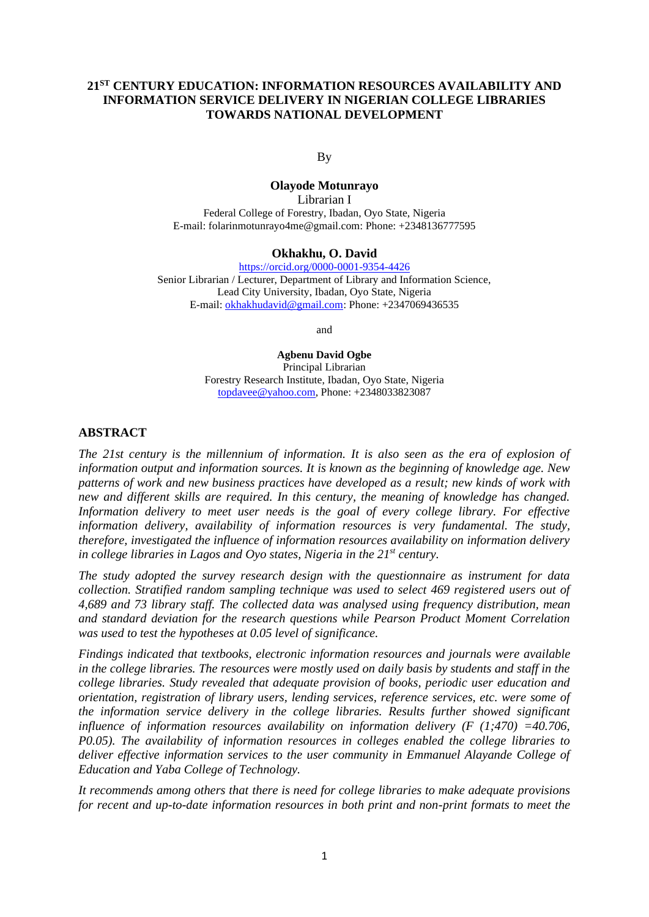# **21ST CENTURY EDUCATION: INFORMATION RESOURCES AVAILABILITY AND INFORMATION SERVICE DELIVERY IN NIGERIAN COLLEGE LIBRARIES TOWARDS NATIONAL DEVELOPMENT**

By

## **Olayode Motunrayo**

Librarian I Federal College of Forestry, Ibadan, Oyo State, Nigeria E-mail: folarinmotunrayo4me@gmail.com: Phone: +2348136777595

#### **Okhakhu, O. David**

<https://orcid.org/0000-0001-9354-4426> Senior Librarian / Lecturer, Department of Library and Information Science, Lead City University, Ibadan, Oyo State, Nigeria E-mail[: okhakhudavid@gmail.com:](mailto:okhakhudavid@gmail.com) Phone: +2347069436535

and

**Agbenu David Ogbe** Principal Librarian Forestry Research Institute, Ibadan, Oyo State, Nigeria [topdavee@yahoo.com,](mailto:topdavee@yahoo.com) Phone: +2348033823087

#### **ABSTRACT**

*The 21st century is the millennium of information. It is also seen as the era of explosion of information output and information sources. It is known as the beginning of knowledge age. New patterns of work and new business practices have developed as a result; new kinds of work with new and different skills are required. In this century, the meaning of knowledge has changed. Information delivery to meet user needs is the goal of every college library. For effective information delivery, availability of information resources is very fundamental. The study, therefore, investigated the influence of information resources availability on information delivery in college libraries in Lagos and Oyo states, Nigeria in the 21st century.* 

*The study adopted the survey research design with the questionnaire as instrument for data collection. Stratified random sampling technique was used to select 469 registered users out of 4,689 and 73 library staff. The collected data was analysed using frequency distribution, mean and standard deviation for the research questions while Pearson Product Moment Correlation was used to test the hypotheses at 0.05 level of significance.*

*Findings indicated that textbooks, electronic information resources and journals were available in the college libraries. The resources were mostly used on daily basis by students and staff in the college libraries. Study revealed that adequate provision of books, periodic user education and orientation, registration of library users, lending services, reference services, etc. were some of the information service delivery in the college libraries. Results further showed significant influence of information resources availability on information delivery (F (1;470) =40.706, P0.05). The availability of information resources in colleges enabled the college libraries to deliver effective information services to the user community in Emmanuel Alayande College of Education and Yaba College of Technology.* 

*It recommends among others that there is need for college libraries to make adequate provisions for recent and up-to-date information resources in both print and non-print formats to meet the*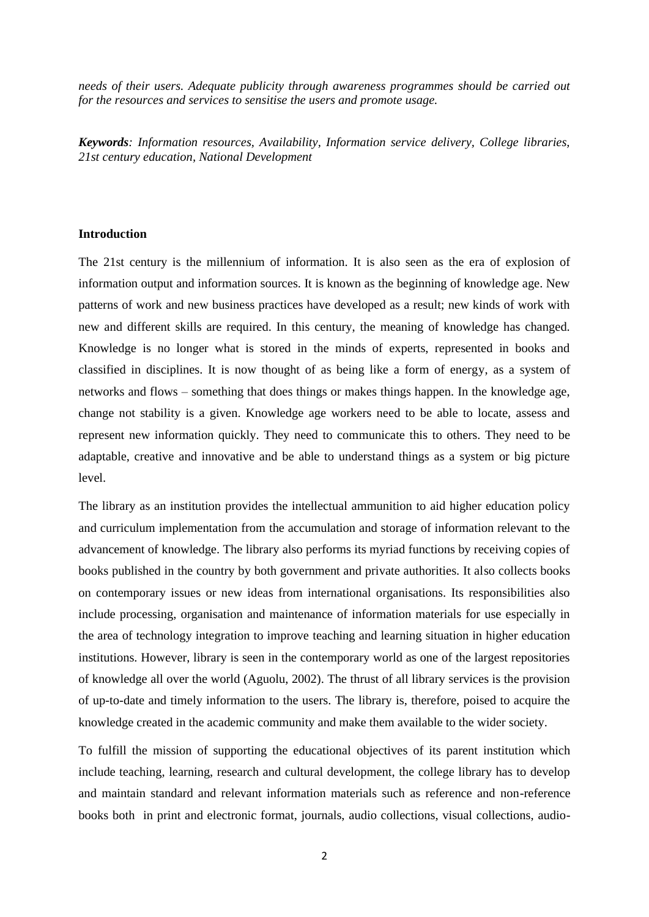*needs of their users. Adequate publicity through awareness programmes should be carried out for the resources and services to sensitise the users and promote usage.* 

*Keywords: Information resources, Availability, Information service delivery, College libraries, 21st century education, National Development*

### **Introduction**

The 21st century is the millennium of information. It is also seen as the era of explosion of information output and information sources. It is known as the beginning of knowledge age. New patterns of work and new business practices have developed as a result; new kinds of work with new and different skills are required. In this century, the meaning of knowledge has changed. Knowledge is no longer what is stored in the minds of experts, represented in books and classified in disciplines. It is now thought of as being like a form of energy, as a system of networks and flows – something that does things or makes things happen. In the knowledge age, change not stability is a given. Knowledge age workers need to be able to locate, assess and represent new information quickly. They need to communicate this to others. They need to be adaptable, creative and innovative and be able to understand things as a system or big picture level.

The library as an institution provides the intellectual ammunition to aid higher education policy and curriculum implementation from the accumulation and storage of information relevant to the advancement of knowledge. The library also performs its myriad functions by receiving copies of books published in the country by both government and private authorities. It also collects books on contemporary issues or new ideas from international organisations. Its responsibilities also include processing, organisation and maintenance of information materials for use especially in the area of technology integration to improve teaching and learning situation in higher education institutions. However, library is seen in the contemporary world as one of the largest repositories of knowledge all over the world (Aguolu, 2002). The thrust of all library services is the provision of up-to-date and timely information to the users. The library is, therefore, poised to acquire the knowledge created in the academic community and make them available to the wider society.

To fulfill the mission of supporting the educational objectives of its parent institution which include teaching, learning, research and cultural development, the college library has to develop and maintain standard and relevant information materials such as reference and non-reference books both in print and electronic format, journals, audio collections, visual collections, audio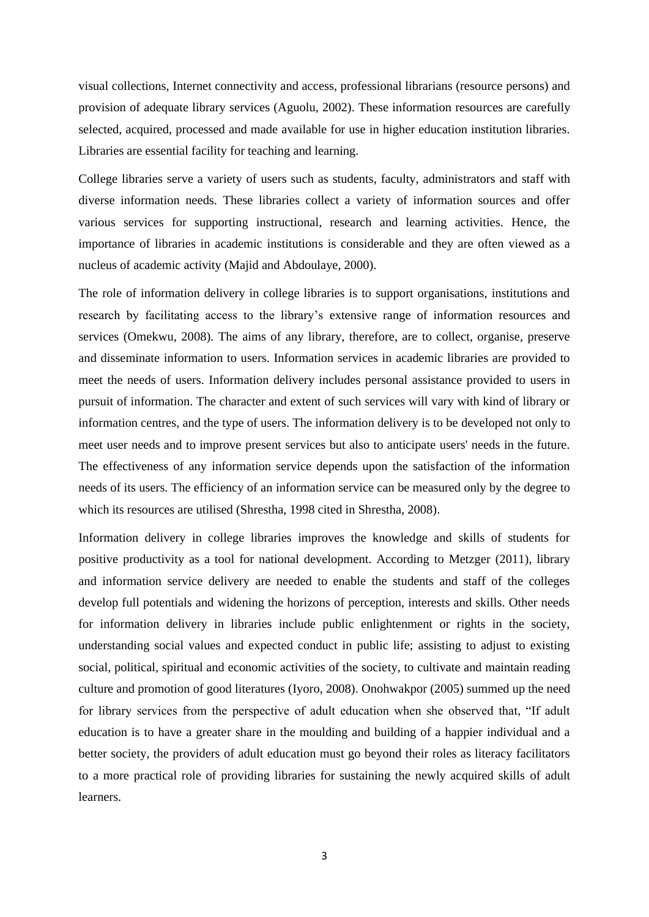visual collections, Internet connectivity and access, professional librarians (resource persons) and provision of adequate library services (Aguolu, 2002). These information resources are carefully selected, acquired, processed and made available for use in higher education institution libraries. Libraries are essential facility for teaching and learning.

College libraries serve a variety of users such as students, faculty, administrators and staff with diverse information needs. These libraries collect a variety of information sources and offer various services for supporting instructional, research and learning activities. Hence, the importance of libraries in academic institutions is considerable and they are often viewed as a nucleus of academic activity (Majid and Abdoulaye, 2000).

The role of information delivery in college libraries is to support organisations, institutions and research by facilitating access to the library's extensive range of information resources and services (Omekwu, 2008). The aims of any library, therefore, are to collect, organise, preserve and disseminate information to users. Information services in academic libraries are provided to meet the needs of users. Information delivery includes personal assistance provided to users in pursuit of information. The character and extent of such services will vary with kind of library or information centres, and the type of users. The information delivery is to be developed not only to meet user needs and to improve present services but also to anticipate users' needs in the future. The effectiveness of any information service depends upon the satisfaction of the information needs of its users. The efficiency of an information service can be measured only by the degree to which its resources are utilised (Shrestha, 1998 cited in Shrestha, 2008).

Information delivery in college libraries improves the knowledge and skills of students for positive productivity as a tool for national development. According to Metzger (2011), library and information service delivery are needed to enable the students and staff of the colleges develop full potentials and widening the horizons of perception, interests and skills. Other needs for information delivery in libraries include public enlightenment or rights in the society, understanding social values and expected conduct in public life; assisting to adjust to existing social, political, spiritual and economic activities of the society, to cultivate and maintain reading culture and promotion of good literatures (Iyoro, 2008). Onohwakpor (2005) summed up the need for library services from the perspective of adult education when she observed that, "If adult education is to have a greater share in the moulding and building of a happier individual and a better society, the providers of adult education must go beyond their roles as literacy facilitators to a more practical role of providing libraries for sustaining the newly acquired skills of adult learners.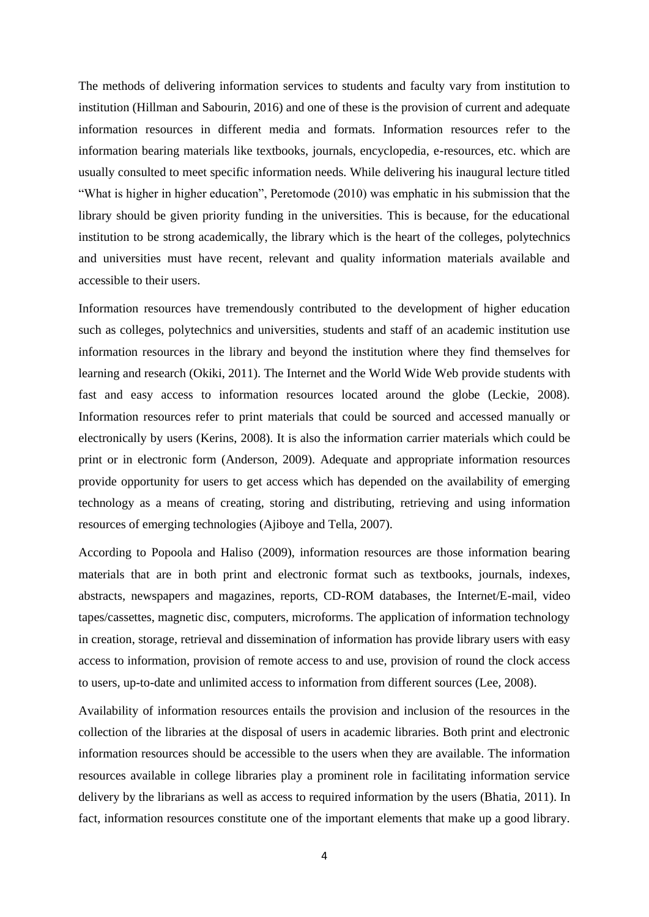The methods of delivering information services to students and faculty vary from institution to institution (Hillman and Sabourin, 2016) and one of these is the provision of current and adequate information resources in different media and formats. Information resources refer to the information bearing materials like textbooks, journals, encyclopedia, e-resources, etc. which are usually consulted to meet specific information needs. While delivering his inaugural lecture titled "What is higher in higher education", Peretomode (2010) was emphatic in his submission that the library should be given priority funding in the universities. This is because, for the educational institution to be strong academically, the library which is the heart of the colleges, polytechnics and universities must have recent, relevant and quality information materials available and accessible to their users.

Information resources have tremendously contributed to the development of higher education such as colleges, polytechnics and universities, students and staff of an academic institution use information resources in the library and beyond the institution where they find themselves for learning and research (Okiki, 2011). The Internet and the World Wide Web provide students with fast and easy access to information resources located around the globe (Leckie, 2008). Information resources refer to print materials that could be sourced and accessed manually or electronically by users (Kerins, 2008). It is also the information carrier materials which could be print or in electronic form (Anderson, 2009). Adequate and appropriate information resources provide opportunity for users to get access which has depended on the availability of emerging technology as a means of creating, storing and distributing, retrieving and using information resources of emerging technologies (Ajiboye and Tella, 2007).

According to Popoola and Haliso (2009), information resources are those information bearing materials that are in both print and electronic format such as textbooks, journals, indexes, abstracts, newspapers and magazines, reports, CD-ROM databases, the Internet/E-mail, video tapes/cassettes, magnetic disc, computers, microforms. The application of information technology in creation, storage, retrieval and dissemination of information has provide library users with easy access to information, provision of remote access to and use, provision of round the clock access to users, up-to-date and unlimited access to information from different sources (Lee, 2008).

Availability of information resources entails the provision and inclusion of the resources in the collection of the libraries at the disposal of users in academic libraries. Both print and electronic information resources should be accessible to the users when they are available. The information resources available in college libraries play a prominent role in facilitating information service delivery by the librarians as well as access to required information by the users (Bhatia, 2011). In fact, information resources constitute one of the important elements that make up a good library.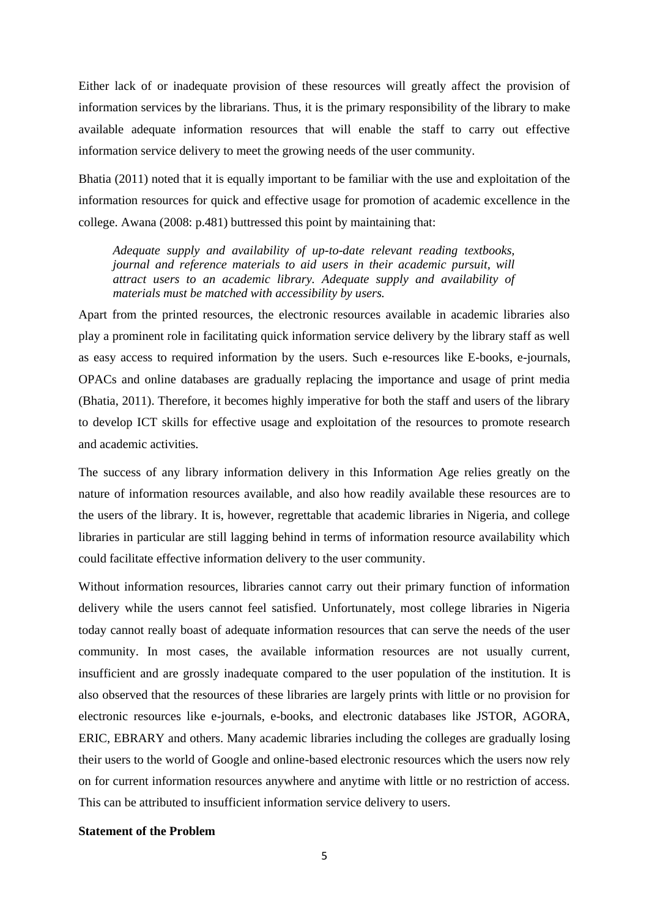Either lack of or inadequate provision of these resources will greatly affect the provision of information services by the librarians. Thus, it is the primary responsibility of the library to make available adequate information resources that will enable the staff to carry out effective information service delivery to meet the growing needs of the user community.

Bhatia (2011) noted that it is equally important to be familiar with the use and exploitation of the information resources for quick and effective usage for promotion of academic excellence in the college. Awana (2008: p.481) buttressed this point by maintaining that:

*Adequate supply and availability of up-to-date relevant reading textbooks, journal and reference materials to aid users in their academic pursuit, will attract users to an academic library. Adequate supply and availability of materials must be matched with accessibility by users.*

Apart from the printed resources, the electronic resources available in academic libraries also play a prominent role in facilitating quick information service delivery by the library staff as well as easy access to required information by the users. Such e-resources like E-books, e-journals, OPACs and online databases are gradually replacing the importance and usage of print media (Bhatia, 2011). Therefore, it becomes highly imperative for both the staff and users of the library to develop ICT skills for effective usage and exploitation of the resources to promote research and academic activities.

The success of any library information delivery in this Information Age relies greatly on the nature of information resources available, and also how readily available these resources are to the users of the library. It is, however, regrettable that academic libraries in Nigeria, and college libraries in particular are still lagging behind in terms of information resource availability which could facilitate effective information delivery to the user community.

Without information resources, libraries cannot carry out their primary function of information delivery while the users cannot feel satisfied. Unfortunately, most college libraries in Nigeria today cannot really boast of adequate information resources that can serve the needs of the user community. In most cases, the available information resources are not usually current, insufficient and are grossly inadequate compared to the user population of the institution. It is also observed that the resources of these libraries are largely prints with little or no provision for electronic resources like e-journals, e-books, and electronic databases like JSTOR, AGORA, ERIC, EBRARY and others. Many academic libraries including the colleges are gradually losing their users to the world of Google and online-based electronic resources which the users now rely on for current information resources anywhere and anytime with little or no restriction of access. This can be attributed to insufficient information service delivery to users.

#### **Statement of the Problem**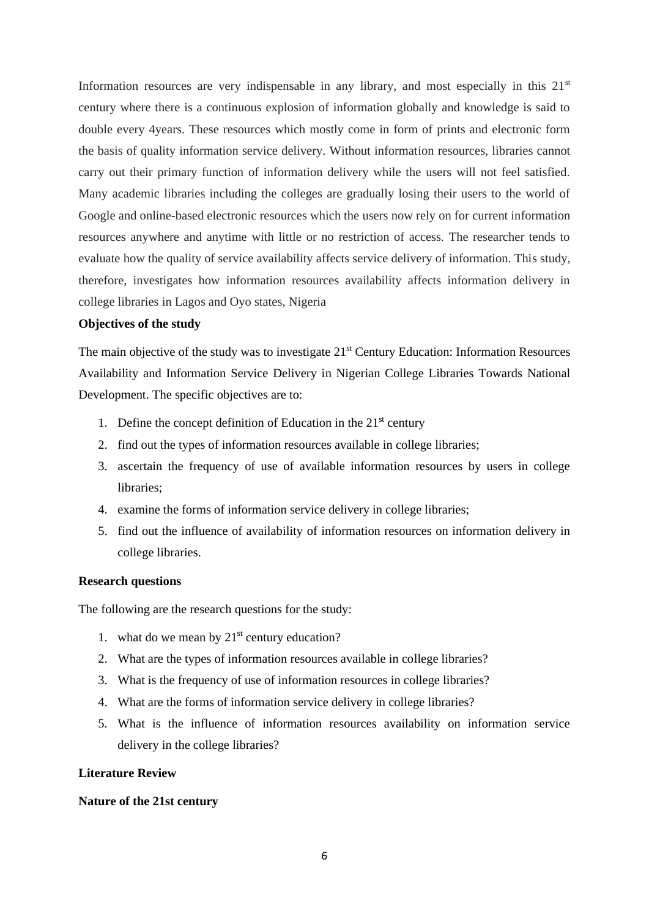Information resources are very indispensable in any library, and most especially in this  $21<sup>st</sup>$ century where there is a continuous explosion of information globally and knowledge is said to double every 4years. These resources which mostly come in form of prints and electronic form the basis of quality information service delivery. Without information resources, libraries cannot carry out their primary function of information delivery while the users will not feel satisfied. Many academic libraries including the colleges are gradually losing their users to the world of Google and online-based electronic resources which the users now rely on for current information resources anywhere and anytime with little or no restriction of access. The researcher tends to evaluate how the quality of service availability affects service delivery of information. This study, therefore, investigates how information resources availability affects information delivery in college libraries in Lagos and Oyo states, Nigeria

#### **Objectives of the study**

The main objective of the study was to investigate 21<sup>st</sup> Century Education: Information Resources Availability and Information Service Delivery in Nigerian College Libraries Towards National Development. The specific objectives are to:

- 1. Define the concept definition of Education in the  $21<sup>st</sup>$  century
- 2. find out the types of information resources available in college libraries;
- 3. ascertain the frequency of use of available information resources by users in college libraries;
- 4. examine the forms of information service delivery in college libraries;
- 5. find out the influence of availability of information resources on information delivery in college libraries.

## **Research questions**

The following are the research questions for the study:

- 1. what do we mean by  $21<sup>st</sup>$  century education?
- 2. What are the types of information resources available in college libraries?
- 3. What is the frequency of use of information resources in college libraries?
- 4. What are the forms of information service delivery in college libraries?
- 5. What is the influence of information resources availability on information service delivery in the college libraries?

#### **Literature Review**

#### **Nature of the 21st century**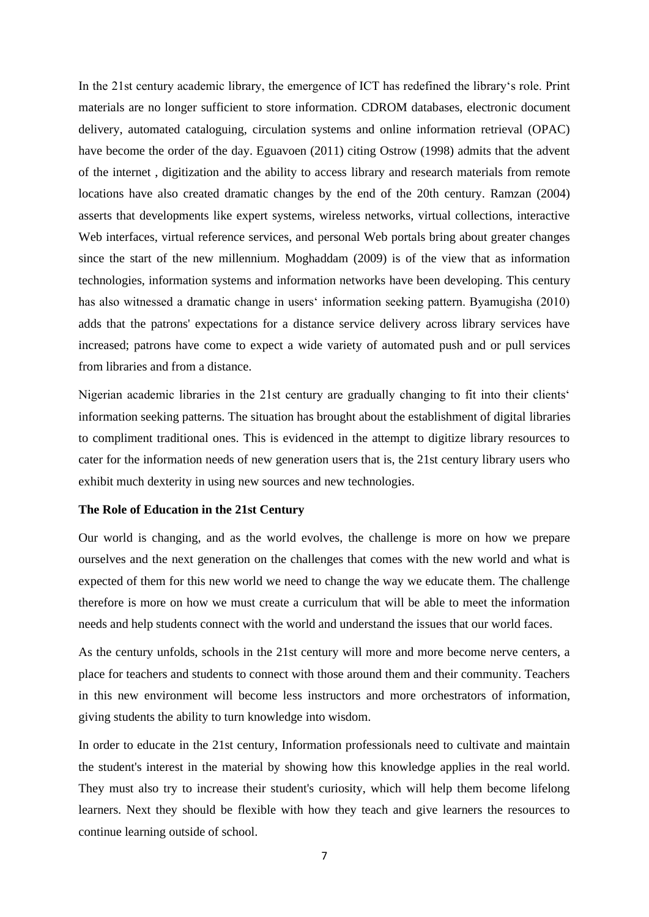In the 21st century academic library, the emergence of ICT has redefined the library's role. Print materials are no longer sufficient to store information. CDROM databases, electronic document delivery, automated cataloguing, circulation systems and online information retrieval (OPAC) have become the order of the day. Eguavoen (2011) citing Ostrow (1998) admits that the advent of the internet , digitization and the ability to access library and research materials from remote locations have also created dramatic changes by the end of the 20th century. Ramzan (2004) asserts that developments like expert systems, wireless networks, virtual collections, interactive Web interfaces, virtual reference services, and personal Web portals bring about greater changes since the start of the new millennium. Moghaddam (2009) is of the view that as information technologies, information systems and information networks have been developing. This century has also witnessed a dramatic change in users' information seeking pattern. Byamugisha (2010) adds that the patrons' expectations for a distance service delivery across library services have increased; patrons have come to expect a wide variety of automated push and or pull services from libraries and from a distance.

Nigerian academic libraries in the 21st century are gradually changing to fit into their clients' information seeking patterns. The situation has brought about the establishment of digital libraries to compliment traditional ones. This is evidenced in the attempt to digitize library resources to cater for the information needs of new generation users that is, the 21st century library users who exhibit much dexterity in using new sources and new technologies.

#### **The Role of Education in the 21st Century**

Our world is changing, and as the world evolves, the challenge is more on how we prepare ourselves and the next generation on the challenges that comes with the new world and what is expected of them for this new world we need to change the way we educate them. The challenge therefore is more on how we must create a curriculum that will be able to meet the information needs and help students connect with the world and understand the issues that our world faces.

As the century unfolds, schools in the 21st century will more and more become nerve centers, a place for teachers and students to connect with those around them and their community. Teachers in this new environment will become less instructors and more orchestrators of information, giving students the ability to turn knowledge into wisdom.

In order to educate in the 21st century, Information professionals need to cultivate and maintain the student's interest in the material by showing how this knowledge applies in the real world. They must also try to increase their student's curiosity, which will help them become lifelong learners. Next they should be flexible with how they teach and give learners the resources to continue learning outside of school.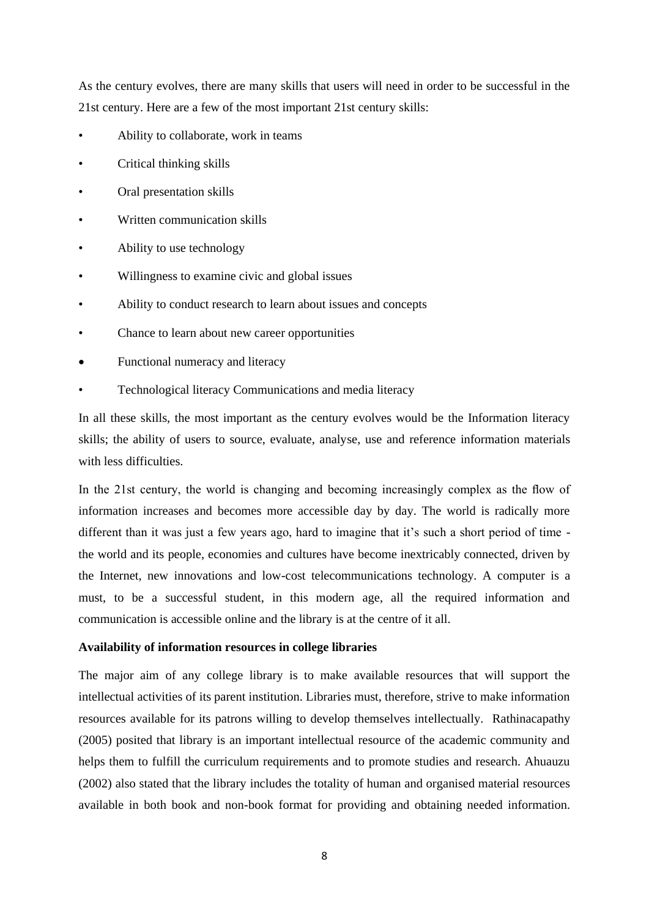As the century evolves, there are many skills that users will need in order to be successful in the 21st century. Here are a few of the most important 21st century skills:

- Ability to collaborate, work in teams
- Critical thinking skills
- Oral presentation skills
- Written communication skills
- Ability to use technology
- Willingness to examine civic and global issues
- Ability to conduct research to learn about issues and concepts
- Chance to learn about new career opportunities
- Functional numeracy and literacy
- Technological literacy Communications and media literacy

In all these skills, the most important as the century evolves would be the Information literacy skills; the ability of users to source, evaluate, analyse, use and reference information materials with less difficulties.

In the 21st century, the world is changing and becoming increasingly complex as the flow of information increases and becomes more accessible day by day. The world is radically more different than it was just a few years ago, hard to imagine that it's such a short period of time the world and its people, economies and cultures have become inextricably connected, driven by the Internet, new innovations and low-cost telecommunications technology. A computer is a must, to be a successful student, in this modern age, all the required information and communication is accessible online and the library is at the centre of it all.

#### **Availability of information resources in college libraries**

The major aim of any college library is to make available resources that will support the intellectual activities of its parent institution. Libraries must, therefore, strive to make information resources available for its patrons willing to develop themselves intellectually. Rathinacapathy (2005) posited that library is an important intellectual resource of the academic community and helps them to fulfill the curriculum requirements and to promote studies and research. Ahuauzu (2002) also stated that the library includes the totality of human and organised material resources available in both book and non-book format for providing and obtaining needed information.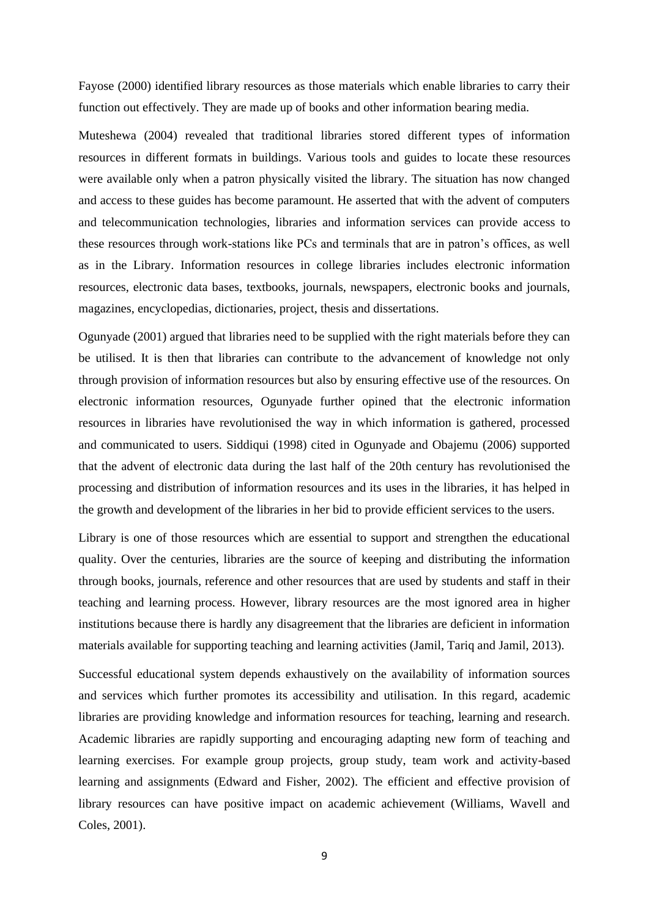Fayose (2000) identified library resources as those materials which enable libraries to carry their function out effectively. They are made up of books and other information bearing media.

Muteshewa (2004) revealed that traditional libraries stored different types of information resources in different formats in buildings. Various tools and guides to locate these resources were available only when a patron physically visited the library. The situation has now changed and access to these guides has become paramount. He asserted that with the advent of computers and telecommunication technologies, libraries and information services can provide access to these resources through work-stations like PCs and terminals that are in patron's offices, as well as in the Library. Information resources in college libraries includes electronic information resources, electronic data bases, textbooks, journals, newspapers, electronic books and journals, magazines, encyclopedias, dictionaries, project, thesis and dissertations.

Ogunyade (2001) argued that libraries need to be supplied with the right materials before they can be utilised. It is then that libraries can contribute to the advancement of knowledge not only through provision of information resources but also by ensuring effective use of the resources. On electronic information resources, Ogunyade further opined that the electronic information resources in libraries have revolutionised the way in which information is gathered, processed and communicated to users. Siddiqui (1998) cited in Ogunyade and Obajemu (2006) supported that the advent of electronic data during the last half of the 20th century has revolutionised the processing and distribution of information resources and its uses in the libraries, it has helped in the growth and development of the libraries in her bid to provide efficient services to the users.

Library is one of those resources which are essential to support and strengthen the educational quality. Over the centuries, libraries are the source of keeping and distributing the information through books, journals, reference and other resources that are used by students and staff in their teaching and learning process. However, library resources are the most ignored area in higher institutions because there is hardly any disagreement that the libraries are deficient in information materials available for supporting teaching and learning activities (Jamil, Tariq and Jamil, 2013).

Successful educational system depends exhaustively on the availability of information sources and services which further promotes its accessibility and utilisation. In this regard, academic libraries are providing knowledge and information resources for teaching, learning and research. Academic libraries are rapidly supporting and encouraging adapting new form of teaching and learning exercises. For example group projects, group study, team work and activity-based learning and assignments (Edward and Fisher, 2002). The efficient and effective provision of library resources can have positive impact on academic achievement (Williams, Wavell and Coles, 2001).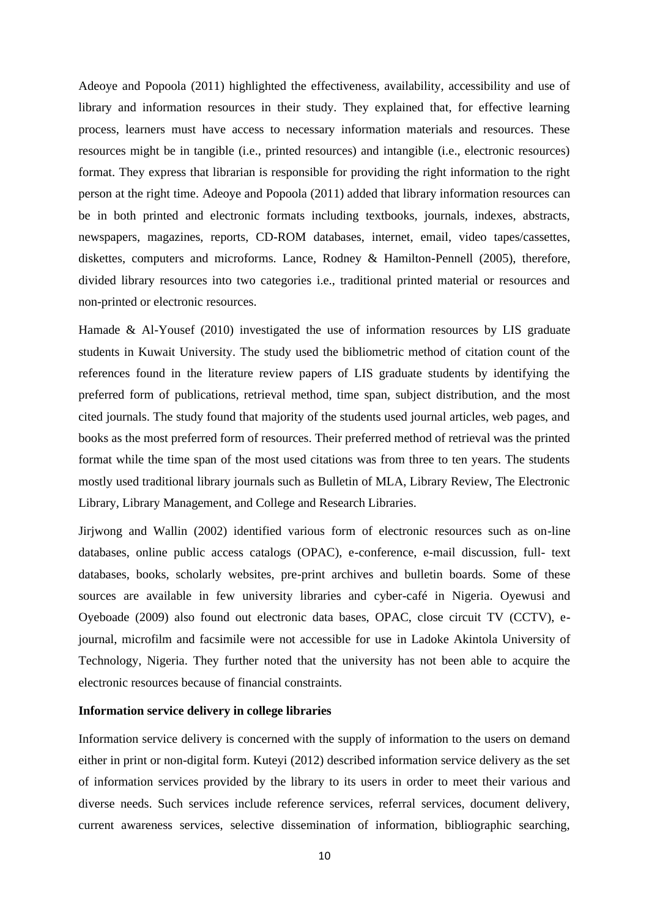Adeoye and Popoola (2011) highlighted the effectiveness, availability, accessibility and use of library and information resources in their study. They explained that, for effective learning process, learners must have access to necessary information materials and resources. These resources might be in tangible (i.e., printed resources) and intangible (i.e., electronic resources) format. They express that librarian is responsible for providing the right information to the right person at the right time. Adeoye and Popoola (2011) added that library information resources can be in both printed and electronic formats including textbooks, journals, indexes, abstracts, newspapers, magazines, reports, CD-ROM databases, internet, email, video tapes/cassettes, diskettes, computers and microforms. Lance, Rodney & Hamilton-Pennell (2005), therefore, divided library resources into two categories i.e., traditional printed material or resources and non-printed or electronic resources.

Hamade & Al-Yousef (2010) investigated the use of information resources by LIS graduate students in Kuwait University. The study used the bibliometric method of citation count of the references found in the literature review papers of LIS graduate students by identifying the preferred form of publications, retrieval method, time span, subject distribution, and the most cited journals. The study found that majority of the students used journal articles, web pages, and books as the most preferred form of resources. Their preferred method of retrieval was the printed format while the time span of the most used citations was from three to ten years. The students mostly used traditional library journals such as Bulletin of MLA, Library Review, The Electronic Library, Library Management, and College and Research Libraries.

Jirjwong and Wallin (2002) identified various form of electronic resources such as on-line databases, online public access catalogs (OPAC), e-conference, e-mail discussion, full- text databases, books, scholarly websites, pre-print archives and bulletin boards. Some of these sources are available in few university libraries and cyber-café in Nigeria. Oyewusi and Oyeboade (2009) also found out electronic data bases, OPAC, close circuit TV (CCTV), ejournal, microfilm and facsimile were not accessible for use in Ladoke Akintola University of Technology, Nigeria. They further noted that the university has not been able to acquire the electronic resources because of financial constraints.

#### **Information service delivery in college libraries**

Information service delivery is concerned with the supply of information to the users on demand either in print or non-digital form. Kuteyi (2012) described information service delivery as the set of information services provided by the library to its users in order to meet their various and diverse needs. Such services include reference services, referral services, document delivery, current awareness services, selective dissemination of information, bibliographic searching,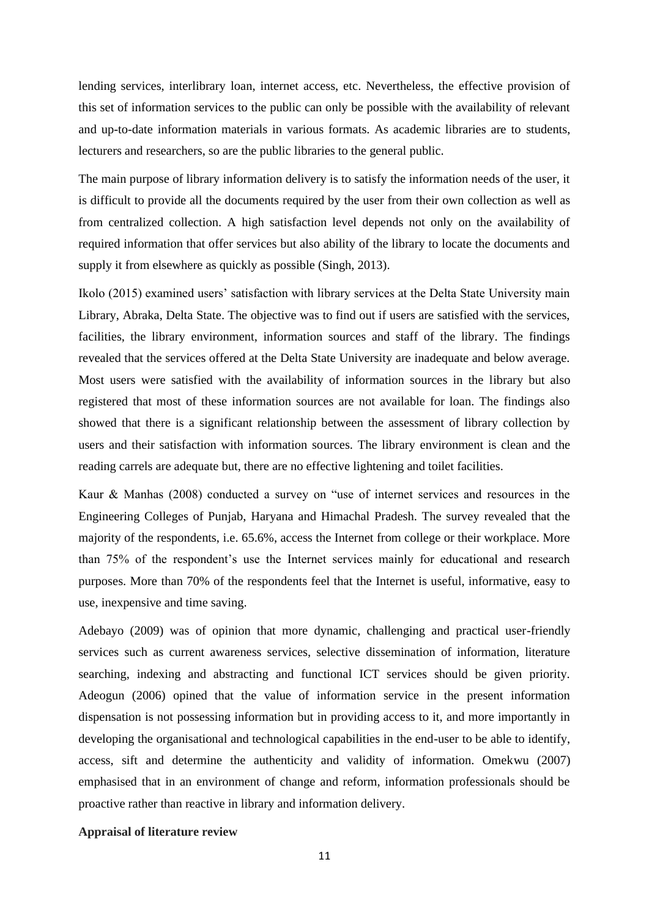lending services, interlibrary loan, internet access, etc. Nevertheless, the effective provision of this set of information services to the public can only be possible with the availability of relevant and up-to-date information materials in various formats. As academic libraries are to students, lecturers and researchers, so are the public libraries to the general public.

The main purpose of library information delivery is to satisfy the information needs of the user, it is difficult to provide all the documents required by the user from their own collection as well as from centralized collection. A high satisfaction level depends not only on the availability of required information that offer services but also ability of the library to locate the documents and supply it from elsewhere as quickly as possible (Singh, 2013).

Ikolo (2015) examined users' satisfaction with library services at the Delta State University main Library, Abraka, Delta State. The objective was to find out if users are satisfied with the services, facilities, the library environment, information sources and staff of the library. The findings revealed that the services offered at the Delta State University are inadequate and below average. Most users were satisfied with the availability of information sources in the library but also registered that most of these information sources are not available for loan. The findings also showed that there is a significant relationship between the assessment of library collection by users and their satisfaction with information sources. The library environment is clean and the reading carrels are adequate but, there are no effective lightening and toilet facilities.

Kaur & Manhas (2008) conducted a survey on "use of internet services and resources in the Engineering Colleges of Punjab, Haryana and Himachal Pradesh. The survey revealed that the majority of the respondents, i.e. 65.6%, access the Internet from college or their workplace. More than 75% of the respondent's use the Internet services mainly for educational and research purposes. More than 70% of the respondents feel that the Internet is useful, informative, easy to use, inexpensive and time saving.

Adebayo (2009) was of opinion that more dynamic, challenging and practical user-friendly services such as current awareness services, selective dissemination of information, literature searching, indexing and abstracting and functional ICT services should be given priority. Adeogun (2006) opined that the value of information service in the present information dispensation is not possessing information but in providing access to it, and more importantly in developing the organisational and technological capabilities in the end-user to be able to identify, access, sift and determine the authenticity and validity of information. Omekwu (2007) emphasised that in an environment of change and reform, information professionals should be proactive rather than reactive in library and information delivery.

#### **Appraisal of literature review**

11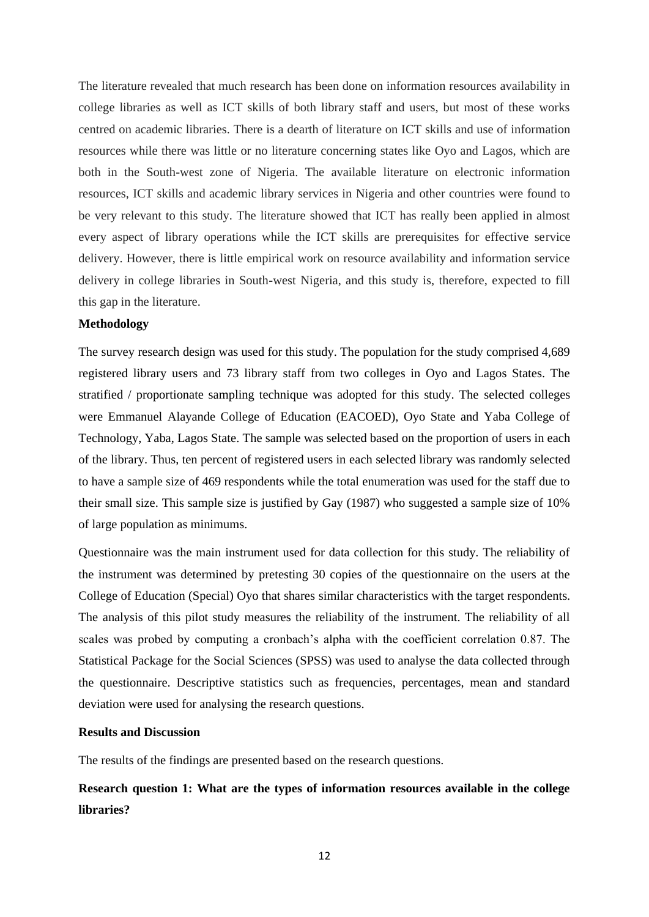The literature revealed that much research has been done on information resources availability in college libraries as well as ICT skills of both library staff and users, but most of these works centred on academic libraries. There is a dearth of literature on ICT skills and use of information resources while there was little or no literature concerning states like Oyo and Lagos, which are both in the South-west zone of Nigeria. The available literature on electronic information resources, ICT skills and academic library services in Nigeria and other countries were found to be very relevant to this study. The literature showed that ICT has really been applied in almost every aspect of library operations while the ICT skills are prerequisites for effective service delivery. However, there is little empirical work on resource availability and information service delivery in college libraries in South-west Nigeria, and this study is, therefore, expected to fill this gap in the literature.

#### **Methodology**

The survey research design was used for this study. The population for the study comprised 4,689 registered library users and 73 library staff from two colleges in Oyo and Lagos States. The stratified / proportionate sampling technique was adopted for this study. The selected colleges were Emmanuel Alayande College of Education (EACOED), Oyo State and Yaba College of Technology, Yaba, Lagos State. The sample was selected based on the proportion of users in each of the library. Thus, ten percent of registered users in each selected library was randomly selected to have a sample size of 469 respondents while the total enumeration was used for the staff due to their small size. This sample size is justified by Gay (1987) who suggested a sample size of 10% of large population as minimums.

Questionnaire was the main instrument used for data collection for this study. The reliability of the instrument was determined by pretesting 30 copies of the questionnaire on the users at the College of Education (Special) Oyo that shares similar characteristics with the target respondents. The analysis of this pilot study measures the reliability of the instrument. The reliability of all scales was probed by computing a cronbach's alpha with the coefficient correlation 0.87. The Statistical Package for the Social Sciences (SPSS) was used to analyse the data collected through the questionnaire. Descriptive statistics such as frequencies, percentages, mean and standard deviation were used for analysing the research questions.

# **Results and Discussion**

The results of the findings are presented based on the research questions.

# **Research question 1: What are the types of information resources available in the college libraries?**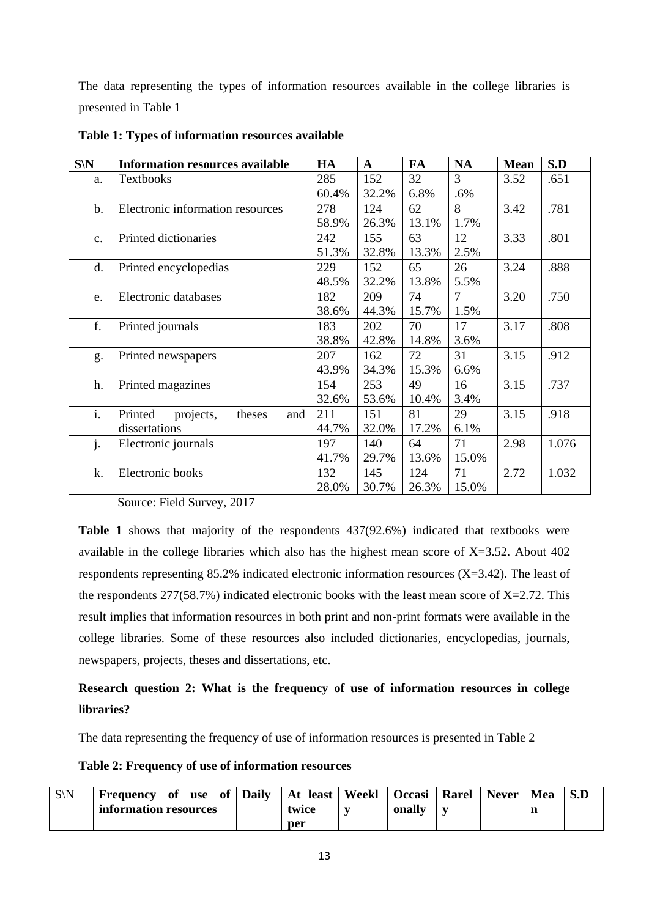The data representing the types of information resources available in the college libraries is presented in Table 1

| $S\backslash N$ | <b>Information resources available</b> | HA    | $\mathbf{A}$ | FA    | NA             | <b>Mean</b> | S.D   |
|-----------------|----------------------------------------|-------|--------------|-------|----------------|-------------|-------|
| a.              | <b>Textbooks</b>                       | 285   | 152          | 32    | 3              | 3.52        | .651  |
|                 |                                        | 60.4% | 32.2%        | 6.8%  | $.6\%$         |             |       |
| $b$ .           | Electronic information resources       | 278   | 124          | 62    | 8              | 3.42        | .781  |
|                 |                                        | 58.9% | 26.3%        | 13.1% | 1.7%           |             |       |
| c.              | Printed dictionaries                   | 242   | 155          | 63    | 12             | 3.33        | .801  |
|                 |                                        | 51.3% | 32.8%        | 13.3% | 2.5%           |             |       |
| d.              | Printed encyclopedias                  | 229   | 152          | 65    | 26             | 3.24        | .888  |
|                 |                                        | 48.5% | 32.2%        | 13.8% | 5.5%           |             |       |
| e.              | Electronic databases                   | 182   | 209          | 74    | $\overline{7}$ | 3.20        | .750  |
|                 |                                        | 38.6% | 44.3%        | 15.7% | 1.5%           |             |       |
| f.              | Printed journals                       | 183   | 202          | 70    | 17             | 3.17        | .808  |
|                 |                                        | 38.8% | 42.8%        | 14.8% | 3.6%           |             |       |
| g.              | Printed newspapers                     | 207   | 162          | 72    | 31             | 3.15        | .912  |
|                 |                                        | 43.9% | 34.3%        | 15.3% | 6.6%           |             |       |
| h.              | Printed magazines                      | 154   | 253          | 49    | 16             | 3.15        | .737  |
|                 |                                        | 32.6% | 53.6%        | 10.4% | 3.4%           |             |       |
| i.              | Printed<br>projects,<br>theses<br>and  | 211   | 151          | 81    | 29             | 3.15        | .918  |
|                 | dissertations                          | 44.7% | 32.0%        | 17.2% | 6.1%           |             |       |
| j.              | Electronic journals                    | 197   | 140          | 64    | 71             | 2.98        | 1.076 |
|                 |                                        | 41.7% | 29.7%        | 13.6% | 15.0%          |             |       |
| k.              | Electronic books                       | 132   | 145          | 124   | 71             | 2.72        | 1.032 |
|                 |                                        | 28.0% | 30.7%        | 26.3% | 15.0%          |             |       |

**Table 1: Types of information resources available** 

Source: Field Survey, 2017

**Table 1** shows that majority of the respondents 437(92.6%) indicated that textbooks were available in the college libraries which also has the highest mean score of X=3.52. About 402 respondents representing 85.2% indicated electronic information resources (X=3.42). The least of the respondents  $277(58.7%)$  indicated electronic books with the least mean score of  $X=2.72$ . This result implies that information resources in both print and non-print formats were available in the college libraries. Some of these resources also included dictionaries, encyclopedias, journals, newspapers, projects, theses and dissertations, etc.

# **Research question 2: What is the frequency of use of information resources in college libraries?**

The data representing the frequency of use of information resources is presented in Table 2

**Table 2: Frequency of use of information resources** 

| $S\backslash N$ | <b>Frequency</b> of   | use of | <b>Daily</b> | At least   Weekl | Occasi   Rarel | $\sim$   Never $\sim$ | Mea |  |
|-----------------|-----------------------|--------|--------------|------------------|----------------|-----------------------|-----|--|
|                 | information resources |        |              | twice            | onally         |                       | n   |  |
|                 |                       |        |              | per              |                |                       |     |  |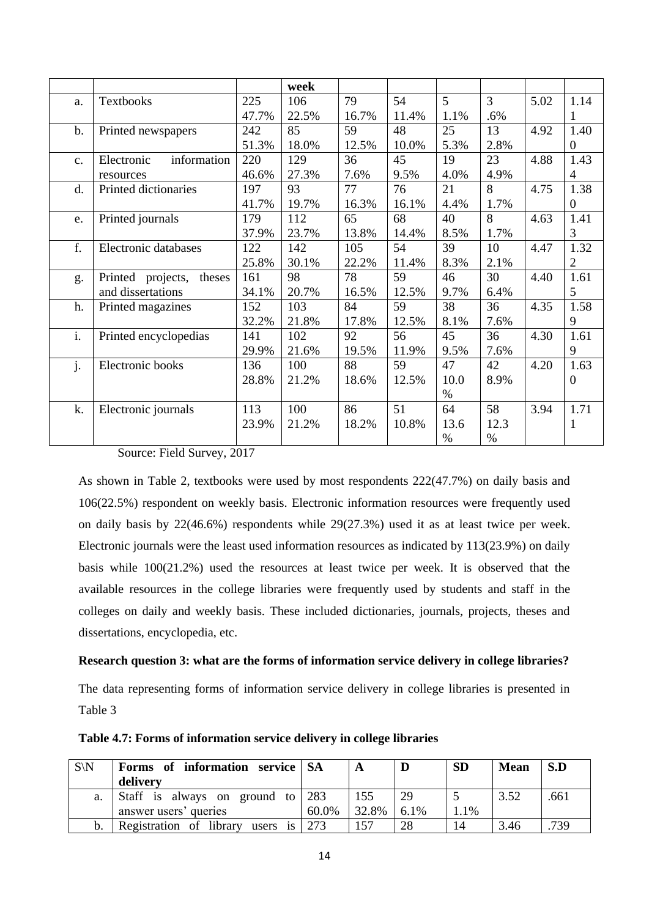|    |                             |       | week  |       |       |      |      |      |                  |
|----|-----------------------------|-------|-------|-------|-------|------|------|------|------------------|
| a. | <b>Textbooks</b>            | 225   | 106   | 79    | 54    | 5    | 3    | 5.02 | 1.14             |
|    |                             | 47.7% | 22.5% | 16.7% | 11.4% | 1.1% | .6%  |      |                  |
| b. | Printed newspapers          | 242   | 85    | 59    | 48    | 25   | 13   | 4.92 | 1.40             |
|    |                             | 51.3% | 18.0% | 12.5% | 10.0% | 5.3% | 2.8% |      | $\overline{0}$   |
| c. | information<br>Electronic   | 220   | 129   | 36    | 45    | 19   | 23   | 4.88 | 1.43             |
|    | resources                   | 46.6% | 27.3% | 7.6%  | 9.5%  | 4.0% | 4.9% |      | $\overline{4}$   |
| d. | Printed dictionaries        | 197   | 93    | 77    | 76    | 21   | 8    | 4.75 | 1.38             |
|    |                             | 41.7% | 19.7% | 16.3% | 16.1% | 4.4% | 1.7% |      | $\overline{0}$   |
| e. | Printed journals            | 179   | 112   | 65    | 68    | 40   | 8    | 4.63 | 1.41             |
|    |                             | 37.9% | 23.7% | 13.8% | 14.4% | 8.5% | 1.7% |      | 3                |
| f. | Electronic databases        | 122   | 142   | 105   | 54    | 39   | 10   | 4.47 | 1.32             |
|    |                             | 25.8% | 30.1% | 22.2% | 11.4% | 8.3% | 2.1% |      | $\overline{2}$   |
| g. | Printed projects,<br>theses | 161   | 98    | 78    | 59    | 46   | 30   | 4.40 | 1.61             |
|    | and dissertations           | 34.1% | 20.7% | 16.5% | 12.5% | 9.7% | 6.4% |      | 5                |
| h. | Printed magazines           | 152   | 103   | 84    | 59    | 38   | 36   | 4.35 | 1.58             |
|    |                             | 32.2% | 21.8% | 17.8% | 12.5% | 8.1% | 7.6% |      | 9                |
| i. | Printed encyclopedias       | 141   | 102   | 92    | 56    | 45   | 36   | 4.30 | 1.61             |
|    |                             | 29.9% | 21.6% | 19.5% | 11.9% | 9.5% | 7.6% |      | 9                |
| j. | Electronic books            | 136   | 100   | 88    | 59    | 47   | 42   | 4.20 | 1.63             |
|    |                             | 28.8% | 21.2% | 18.6% | 12.5% | 10.0 | 8.9% |      | $\boldsymbol{0}$ |
|    |                             |       |       |       |       | $\%$ |      |      |                  |
| k. | Electronic journals         | 113   | 100   | 86    | 51    | 64   | 58   | 3.94 | 1.71             |
|    |                             | 23.9% | 21.2% | 18.2% | 10.8% | 13.6 | 12.3 |      | 1                |
|    |                             |       |       |       |       | $\%$ | $\%$ |      |                  |

# Source: Field Survey, 2017

As shown in Table 2, textbooks were used by most respondents 222(47.7%) on daily basis and 106(22.5%) respondent on weekly basis. Electronic information resources were frequently used on daily basis by 22(46.6%) respondents while 29(27.3%) used it as at least twice per week. Electronic journals were the least used information resources as indicated by 113(23.9%) on daily basis while 100(21.2%) used the resources at least twice per week. It is observed that the available resources in the college libraries were frequently used by students and staff in the colleges on daily and weekly basis. These included dictionaries, journals, projects, theses and dissertations, encyclopedia, etc.

# **Research question 3: what are the forms of information service delivery in college libraries?**

The data representing forms of information service delivery in college libraries is presented in Table 3

| $S\backslash N$ | Forms of information service SA<br>delivery |       |       | D    | <b>SD</b> | <b>Mean</b> | S.D  |
|-----------------|---------------------------------------------|-------|-------|------|-----------|-------------|------|
| a.              | Staff is always on ground to $283$          |       | 155   | 29   |           | 3.52        | .661 |
|                 | answer users' queries                       | 60.0% | 32.8% | 6.1% | $.1\%$    |             |      |
| b.              | users is $273$<br>Registration of library   |       | 157   | 28   | 14        | 3.46        | .739 |

#### **Table 4.7: Forms of information service delivery in college libraries**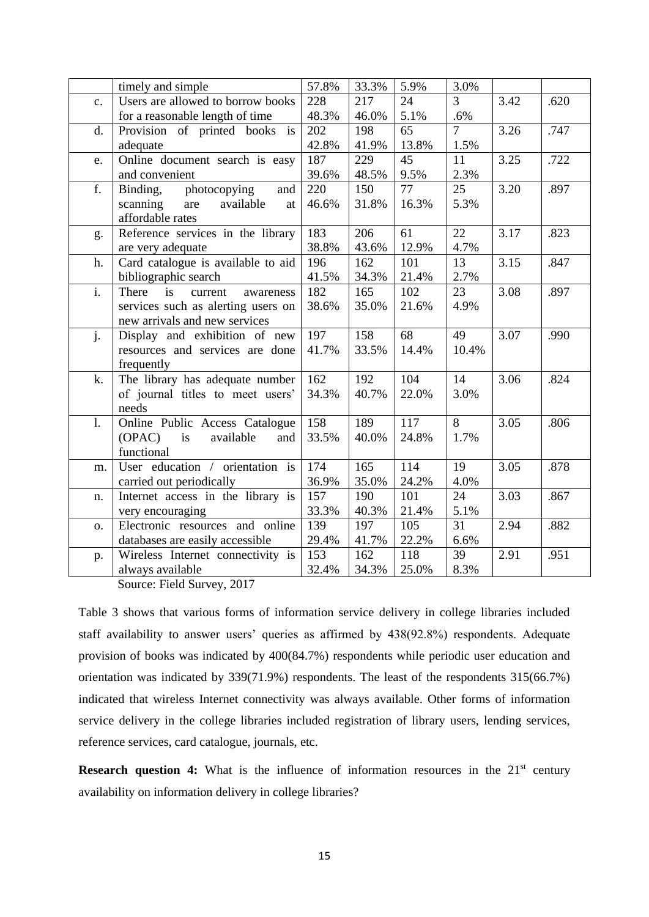|                           | timely and simple                   | 57.8% | 33.3% | 5.9%  | 3.0%           |      |      |
|---------------------------|-------------------------------------|-------|-------|-------|----------------|------|------|
| c.                        | Users are allowed to borrow books   | 228   | 217   | 24    | $\overline{3}$ | 3.42 | .620 |
|                           | for a reasonable length of time     | 48.3% | 46.0% | 5.1%  | .6%            |      |      |
| d.                        | Provision of printed books is       | 202   | 198   | 65    | $\overline{7}$ | 3.26 | .747 |
|                           | adequate                            | 42.8% | 41.9% | 13.8% | 1.5%           |      |      |
| e.                        | Online document search is easy      | 187   | 229   | 45    | 11             | 3.25 | .722 |
|                           | and convenient                      | 39.6% | 48.5% | 9.5%  | 2.3%           |      |      |
| f.                        | photocopying<br>Binding,<br>and     | 220   | 150   | 77    | 25             | 3.20 | .897 |
|                           | scanning<br>available<br>are<br>at  | 46.6% | 31.8% | 16.3% | 5.3%           |      |      |
|                           | affordable rates                    |       |       |       |                |      |      |
| g.                        | Reference services in the library   | 183   | 206   | 61    | 22             | 3.17 | .823 |
|                           | are very adequate                   | 38.8% | 43.6% | 12.9% | 4.7%           |      |      |
| h.                        | Card catalogue is available to aid  | 196   | 162   | 101   | 13             | 3.15 | .847 |
|                           | bibliographic search                | 41.5% | 34.3% | 21.4% | 2.7%           |      |      |
| $\overline{\mathbf{i}}$ . | There<br>is<br>current<br>awareness | 182   | 165   | 102   | 23             | 3.08 | .897 |
|                           | services such as alerting users on  | 38.6% | 35.0% | 21.6% | 4.9%           |      |      |
|                           | new arrivals and new services       |       |       |       |                |      |      |
| j.                        | Display and exhibition of new       | 197   | 158   | 68    | 49             | 3.07 | .990 |
|                           | resources and services are done     | 41.7% | 33.5% | 14.4% | 10.4%          |      |      |
|                           | frequently                          |       |       |       |                |      |      |
| k.                        | The library has adequate number     | 162   | 192   | 104   | 14             | 3.06 | .824 |
|                           | of journal titles to meet users'    | 34.3% | 40.7% | 22.0% | 3.0%           |      |      |
|                           | needs                               |       |       |       |                |      |      |
| 1.                        | Online Public Access Catalogue      | 158   | 189   | 117   | 8              | 3.05 | .806 |
|                           | (OPAC)<br>is<br>available<br>and    | 33.5% | 40.0% | 24.8% | 1.7%           |      |      |
|                           | functional                          |       |       |       |                |      |      |
| m.                        | User education / orientation is     | 174   | 165   | 114   | 19             | 3.05 | .878 |
|                           | carried out periodically            | 36.9% | 35.0% | 24.2% | 4.0%           |      |      |
| n.                        | Internet access in the library is   | 157   | 190   | 101   | 24             | 3.03 | .867 |
|                           | very encouraging                    | 33.3% | 40.3% | 21.4% | 5.1%           |      |      |
| 0.                        | Electronic resources and online     | 139   | 197   | 105   | 31             | 2.94 | .882 |
|                           | databases are easily accessible     | 29.4% | 41.7% | 22.2% | 6.6%           |      |      |
| p.                        | Wireless Internet connectivity is   | 153   | 162   | 118   | 39             | 2.91 | .951 |
|                           | always available                    | 32.4% | 34.3% | 25.0% | 8.3%           |      |      |

Source: Field Survey, 2017

Table 3 shows that various forms of information service delivery in college libraries included staff availability to answer users' queries as affirmed by 438(92.8%) respondents. Adequate provision of books was indicated by 400(84.7%) respondents while periodic user education and orientation was indicated by 339(71.9%) respondents. The least of the respondents 315(66.7%) indicated that wireless Internet connectivity was always available. Other forms of information service delivery in the college libraries included registration of library users, lending services, reference services, card catalogue, journals, etc.

**Research question 4:** What is the influence of information resources in the 21<sup>st</sup> century availability on information delivery in college libraries?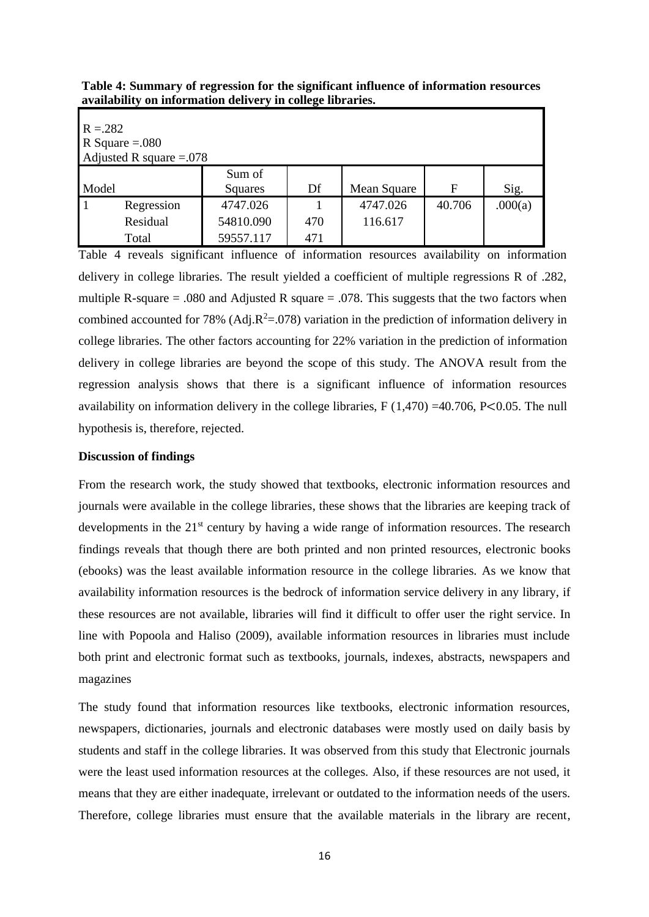| Table 4: Summary of regression for the significant influence of information resources |
|---------------------------------------------------------------------------------------|
| availability on information delivery in college libraries.                            |

| $R = 282$                 |                  |           |     |             |        |         |  |  |  |  |
|---------------------------|------------------|-----------|-----|-------------|--------|---------|--|--|--|--|
|                           | R Square $=.080$ |           |     |             |        |         |  |  |  |  |
| Adjusted R square $=.078$ |                  |           |     |             |        |         |  |  |  |  |
|                           |                  | Sum of    |     |             |        |         |  |  |  |  |
| Model                     |                  | Squares   | Df  | Mean Square | F      | Sig.    |  |  |  |  |
| l 1                       | Regression       | 4747.026  |     | 4747.026    | 40.706 | .000(a) |  |  |  |  |
|                           | Residual         | 54810.090 | 470 | 116.617     |        |         |  |  |  |  |
|                           | Total            | 59557.117 | 471 |             |        |         |  |  |  |  |

Table 4 reveals significant influence of information resources availability on information delivery in college libraries. The result yielded a coefficient of multiple regressions R of .282, multiple R-square  $= .080$  and Adjusted R square  $= .078$ . This suggests that the two factors when combined accounted for 78% (Adj. $R^2 = 0.078$ ) variation in the prediction of information delivery in college libraries. The other factors accounting for 22% variation in the prediction of information delivery in college libraries are beyond the scope of this study. The ANOVA result from the regression analysis shows that there is a significant influence of information resources availability on information delivery in the college libraries,  $F(1,470) = 40.706$ ,  $P<0.05$ . The null hypothesis is, therefore, rejected.

#### **Discussion of findings**

From the research work, the study showed that textbooks, electronic information resources and journals were available in the college libraries, these shows that the libraries are keeping track of developments in the 21<sup>st</sup> century by having a wide range of information resources. The research findings reveals that though there are both printed and non printed resources, electronic books (ebooks) was the least available information resource in the college libraries. As we know that availability information resources is the bedrock of information service delivery in any library, if these resources are not available, libraries will find it difficult to offer user the right service. In line with Popoola and Haliso (2009), available information resources in libraries must include both print and electronic format such as textbooks, journals, indexes, abstracts, newspapers and magazines

The study found that information resources like textbooks, electronic information resources, newspapers, dictionaries, journals and electronic databases were mostly used on daily basis by students and staff in the college libraries. It was observed from this study that Electronic journals were the least used information resources at the colleges. Also, if these resources are not used, it means that they are either inadequate, irrelevant or outdated to the information needs of the users. Therefore, college libraries must ensure that the available materials in the library are recent,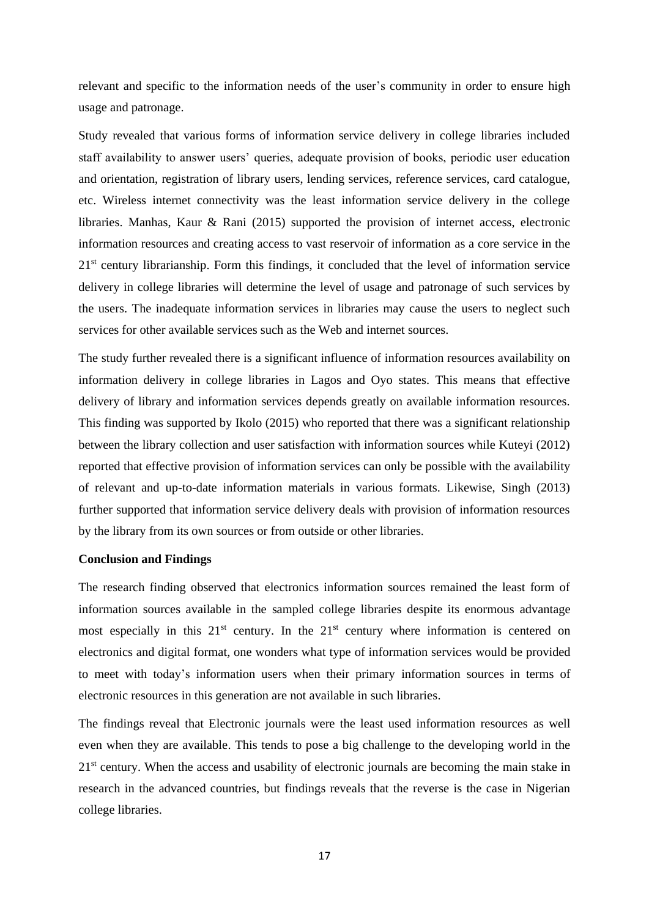relevant and specific to the information needs of the user's community in order to ensure high usage and patronage.

Study revealed that various forms of information service delivery in college libraries included staff availability to answer users' queries, adequate provision of books, periodic user education and orientation, registration of library users, lending services, reference services, card catalogue, etc. Wireless internet connectivity was the least information service delivery in the college libraries. Manhas, Kaur & Rani (2015) supported the provision of internet access, electronic information resources and creating access to vast reservoir of information as a core service in the  $21<sup>st</sup>$  century librarianship. Form this findings, it concluded that the level of information service delivery in college libraries will determine the level of usage and patronage of such services by the users. The inadequate information services in libraries may cause the users to neglect such services for other available services such as the Web and internet sources.

The study further revealed there is a significant influence of information resources availability on information delivery in college libraries in Lagos and Oyo states. This means that effective delivery of library and information services depends greatly on available information resources. This finding was supported by Ikolo (2015) who reported that there was a significant relationship between the library collection and user satisfaction with information sources while Kuteyi (2012) reported that effective provision of information services can only be possible with the availability of relevant and up-to-date information materials in various formats. Likewise, Singh (2013) further supported that information service delivery deals with provision of information resources by the library from its own sources or from outside or other libraries.

#### **Conclusion and Findings**

The research finding observed that electronics information sources remained the least form of information sources available in the sampled college libraries despite its enormous advantage most especially in this  $21<sup>st</sup>$  century. In the  $21<sup>st</sup>$  century where information is centered on electronics and digital format, one wonders what type of information services would be provided to meet with today's information users when their primary information sources in terms of electronic resources in this generation are not available in such libraries.

The findings reveal that Electronic journals were the least used information resources as well even when they are available. This tends to pose a big challenge to the developing world in the  $21<sup>st</sup>$  century. When the access and usability of electronic journals are becoming the main stake in research in the advanced countries, but findings reveals that the reverse is the case in Nigerian college libraries.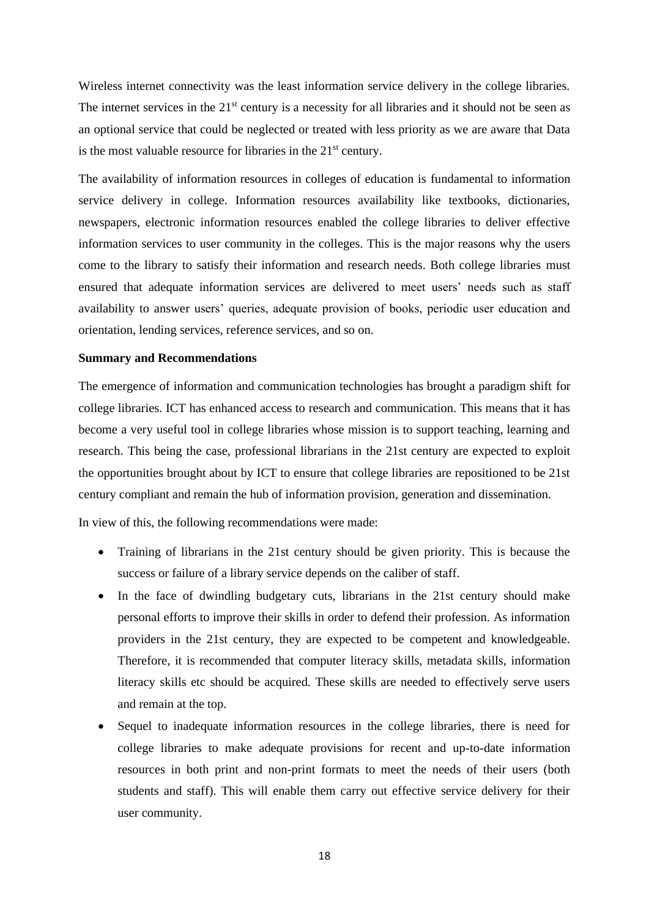Wireless internet connectivity was the least information service delivery in the college libraries. The internet services in the  $21<sup>st</sup>$  century is a necessity for all libraries and it should not be seen as an optional service that could be neglected or treated with less priority as we are aware that Data is the most valuable resource for libraries in the  $21<sup>st</sup>$  century.

The availability of information resources in colleges of education is fundamental to information service delivery in college. Information resources availability like textbooks, dictionaries, newspapers, electronic information resources enabled the college libraries to deliver effective information services to user community in the colleges. This is the major reasons why the users come to the library to satisfy their information and research needs. Both college libraries must ensured that adequate information services are delivered to meet users' needs such as staff availability to answer users' queries, adequate provision of books, periodic user education and orientation, lending services, reference services, and so on.

#### **Summary and Recommendations**

The emergence of information and communication technologies has brought a paradigm shift for college libraries. ICT has enhanced access to research and communication. This means that it has become a very useful tool in college libraries whose mission is to support teaching, learning and research. This being the case, professional librarians in the 21st century are expected to exploit the opportunities brought about by ICT to ensure that college libraries are repositioned to be 21st century compliant and remain the hub of information provision, generation and dissemination.

In view of this, the following recommendations were made:

- Training of librarians in the 21st century should be given priority. This is because the success or failure of a library service depends on the caliber of staff.
- In the face of dwindling budgetary cuts, librarians in the 21st century should make personal efforts to improve their skills in order to defend their profession. As information providers in the 21st century, they are expected to be competent and knowledgeable. Therefore, it is recommended that computer literacy skills, metadata skills, information literacy skills etc should be acquired. These skills are needed to effectively serve users and remain at the top.
- Sequel to inadequate information resources in the college libraries, there is need for college libraries to make adequate provisions for recent and up-to-date information resources in both print and non-print formats to meet the needs of their users (both students and staff). This will enable them carry out effective service delivery for their user community.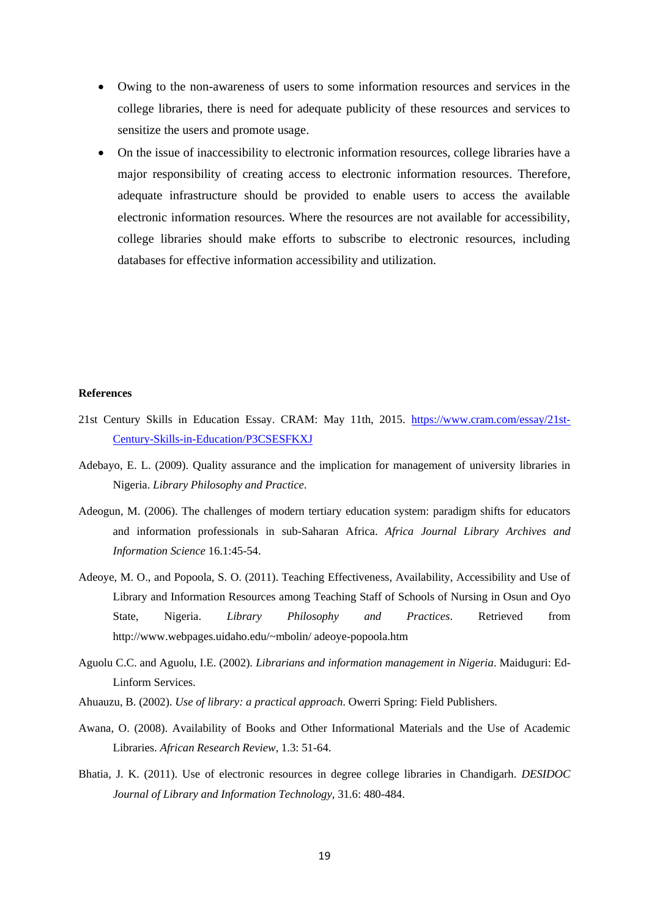- Owing to the non-awareness of users to some information resources and services in the college libraries, there is need for adequate publicity of these resources and services to sensitize the users and promote usage.
- On the issue of inaccessibility to electronic information resources, college libraries have a major responsibility of creating access to electronic information resources. Therefore, adequate infrastructure should be provided to enable users to access the available electronic information resources. Where the resources are not available for accessibility, college libraries should make efforts to subscribe to electronic resources, including databases for effective information accessibility and utilization.

#### **References**

- 21st Century Skills in Education Essay. CRAM: May 11th, 2015. [https://www.cram.com/essay/21st-](https://www.cram.com/essay/21st-Century-Skills-in-Education/P3CSESFKXJ)[Century-Skills-in-Education/P3CSESFKXJ](https://www.cram.com/essay/21st-Century-Skills-in-Education/P3CSESFKXJ)
- Adebayo, E. L. (2009). Quality assurance and the implication for management of university libraries in Nigeria. *Library Philosophy and Practice*.
- Adeogun, M. (2006). The challenges of modern tertiary education system: paradigm shifts for educators and information professionals in sub-Saharan Africa. *Africa Journal Library Archives and Information Science* 16.1:45-54.
- Adeoye, M. O., and Popoola, S. O. (2011). Teaching Effectiveness, Availability, Accessibility and Use of Library and Information Resources among Teaching Staff of Schools of Nursing in Osun and Oyo State, Nigeria. *Library Philosophy and Practices*. Retrieved from http://www.webpages.uidaho.edu/~mbolin/ adeoye-popoola.htm
- Aguolu C.C. and Aguolu, I.E. (2002). *Librarians and information management in Nigeria*. Maiduguri: Ed-Linform Services.
- Ahuauzu, B. (2002). *Use of library: a practical approach*. Owerri Spring: Field Publishers.
- Awana, O. (2008). Availability of Books and Other Informational Materials and the Use of Academic Libraries. *African Research Review*, 1.3: 51-64.
- Bhatia, J. K. (2011). Use of electronic resources in degree college libraries in Chandigarh. *DESIDOC Journal of Library and Information Technology*, 31.6: 480-484.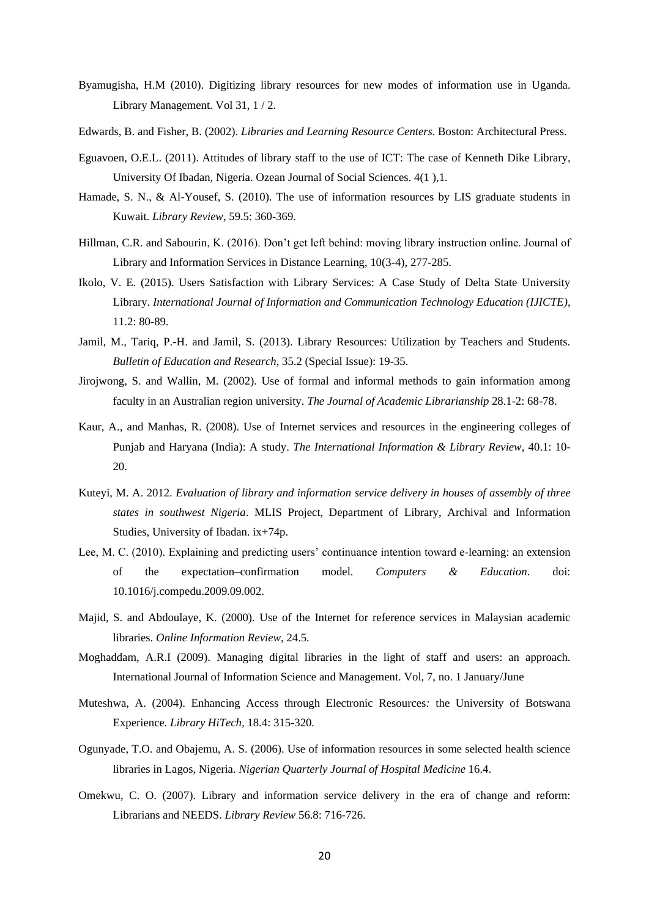- Byamugisha, H.M (2010). Digitizing library resources for new modes of information use in Uganda. Library Management. Vol 31, 1 / 2.
- Edwards, B. and Fisher, B. (2002). *Libraries and Learning Resource Centers*. Boston: Architectural Press.
- Eguavoen, O.E.L. (2011). Attitudes of library staff to the use of ICT: The case of Kenneth Dike Library, University Of Ibadan, Nigeria. Ozean Journal of Social Sciences. 4(1 ),1.
- Hamade, S. N., & Al-Yousef, S. (2010). The use of information resources by LIS graduate students in Kuwait. *Library Review*, 59.5: 360-369.
- Hillman, C.R. and Sabourin, K. (2016). Don't get left behind: moving library instruction online. Journal of Library and Information Services in Distance Learning, 10(3-4), 277-285.
- Ikolo, V. E. (2015). Users Satisfaction with Library Services: A Case Study of Delta State University Library. *International Journal of Information and Communication Technology Education (IJICTE)*, 11.2: 80-89.
- Jamil, M., Tariq, P.-H. and Jamil, S. (2013). Library Resources: Utilization by Teachers and Students. *Bulletin of Education and Research*, 35.2 (Special Issue): 19-35.
- Jirojwong, S. and Wallin, M. (2002). Use of formal and informal methods to gain information among faculty in an Australian region university. *The Journal of Academic Librarianship* 28.1-2: 68-78.
- Kaur, A., and Manhas, R. (2008). Use of Internet services and resources in the engineering colleges of Punjab and Haryana (India): A study. *The International Information & Library Review*, 40.1: 10- 20.
- Kuteyi, M. A. 2012. *Evaluation of library and information service delivery in houses of assembly of three states in southwest Nigeria*. MLIS Project, Department of Library, Archival and Information Studies, University of Ibadan. ix+74p.
- Lee, M. C. (2010). Explaining and predicting users' continuance intention toward e-learning: an extension of the expectation–confirmation model. *Computers & Education*. doi: 10.1016/j.compedu.2009.09.002.
- Majid, S. and Abdoulaye, K. (2000). Use of the Internet for reference services in Malaysian academic libraries. *Online Information Review*, 24.5.
- Moghaddam, A.R.I (2009). Managing digital libraries in the light of staff and users: an approach. International Journal of Information Science and Management. Vol, 7, no. 1 January/June
- Muteshwa, A. (2004). Enhancing Access through Electronic Resources*:* the University of Botswana Experience*. Library HiTech,* 18.4: 315-320*.*
- Ogunyade, T.O. and Obajemu, A. S. (2006). Use of information resources in some selected health science libraries in Lagos, Nigeria. *Nigerian Quarterly Journal of Hospital Medicine* 16.4.
- Omekwu, C. O. (2007). Library and information service delivery in the era of change and reform: Librarians and NEEDS. *Library Review* 56.8: 716-726.